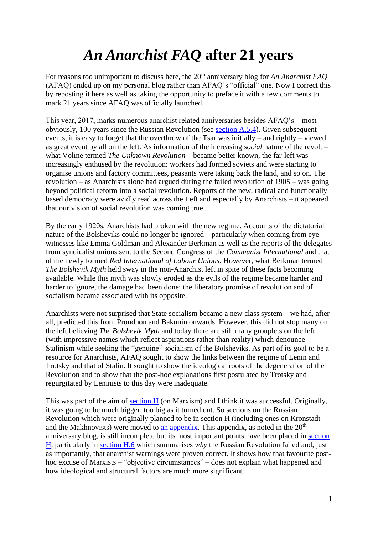## *An Anarchist FAQ* **after 21 years**

For reasons too unimportant to discuss here, the 20<sup>th</sup> anniversary blog for *An Anarchist FAO* (AFAQ) ended up on my personal blog rather than AFAQ's "official" one. Now I correct this by reposting it here as well as taking the opportunity to preface it with a few comments to mark 21 years since AFAQ was officially launched.

This year, 2017, marks numerous anarchist related anniversaries besides AFAQ's – most obviously, 100 years since the Russian Revolution (see [section A.5.4\)](../sectionA.html#seca54). Given subsequent events, it is easy to forget that the overthrow of the Tsar was initially – and rightly – viewed as great event by all on the left. As information of the increasing *social* nature of the revolt – what Voline termed *The Unknown Revolution* – became better known, the far-left was increasingly enthused by the revolution: workers had formed soviets and were starting to organise unions and factory committees, peasants were taking back the land, and so on. The revolution – as Anarchists alone had argued during the failed revolution of 1905 – was going beyond political reform into a social revolution. Reports of the new, radical and functionally based democracy were avidly read across the Left and especially by Anarchists – it appeared that our vision of social revolution was coming true.

By the early 1920s, Anarchists had broken with the new regime. Accounts of the dictatorial nature of the Bolsheviks could no longer be ignored – particularly when coming from eyewitnesses like Emma Goldman and Alexander Berkman as well as the reports of the delegates from syndicalist unions sent to the Second Congress of the *Communist International* and that of the newly formed *Red International of Labour Unions*. However, what Berkman termed *The Bolshevik Myth* held sway in the non-Anarchist left in spite of these facts becoming available. While this myth was slowly eroded as the evils of the regime became harder and harder to ignore, the damage had been done: the liberatory promise of revolution and of socialism became associated with its opposite.

Anarchists were not surprised that State socialism became a new class system – we had, after all, predicted this from Proudhon and Bakunin onwards. However, this did not stop many on the left believing *The Bolshevik Myth* and today there are still many grouplets on the left (with impressive names which reflect aspirations rather than reality) which denounce Stalinism while seeking the "genuine" socialism of the Bolsheviks. As part of its goal to be a resource for Anarchists, AFAQ sought to show the links between the regime of Lenin and Trotsky and that of Stalin. It sought to show the ideological roots of the degeneration of the Revolution and to show that the post-hoc explanations first postulated by Trotsky and regurgitated by Leninists to this day were inadequate.

This was part of the aim of [section H](../sectionH.html) (on Marxism) and I think it was successful. Originally, it was going to be much bigger, too big as it turned out. So sections on the Russian Revolution which were originally planned to be in section H (including ones on Kronstadt and the Makhnovists) were moved to [an appendix.](../append4.html) This appendix, as noted in the  $20<sup>th</sup>$ anniversary blog, is still incomplete but its most important points have been placed in [section](../sectionH.html)  [H,](../sectionH.html) particularly in [section H.6](../sectionH.html#sech6) which summarises *why* the Russian Revolution failed and, just as importantly, that anarchist warnings were proven correct. It shows how that favourite posthoc excuse of Marxists – "objective circumstances" – does not explain what happened and how ideological and structural factors are much more significant.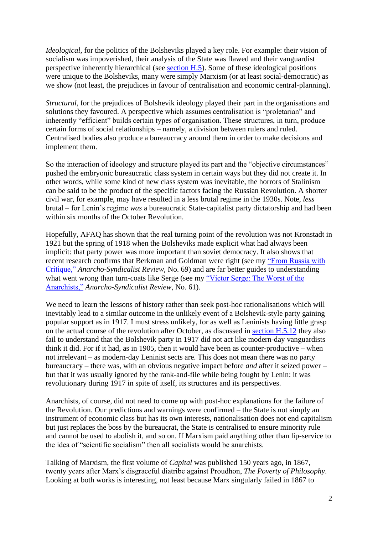*Ideological*, for the politics of the Bolsheviks played a key role. For example: their vision of socialism was impoverished, their analysis of the State was flawed and their vanguardist perspective inherently hierarchical (see [section H.5\)](../sectionH.html#sech5). Some of these ideological positions were unique to the Bolsheviks, many were simply Marxism (or at least social-democratic) as we show (not least, the prejudices in favour of centralisation and economic central-planning).

*Structural*, for the prejudices of Bolshevik ideology played their part in the organisations and solutions they favoured. A perspective which assumes centralisation is "proletarian" and inherently "efficient" builds certain types of organisation. These structures, in turn, produce certain forms of social relationships – namely, a division between rulers and ruled. Centralised bodies also produce a bureaucracy around them in order to make decisions and implement them.

So the interaction of ideology and structure played its part and the "objective circumstances" pushed the embryonic bureaucratic class system in certain ways but they did not create it. In other words, while some kind of new class system was inevitable, the horrors of Stalinism can be said to be the product of the specific factors facing the Russian Revolution. A shorter civil war, for example, may have resulted in a less brutal regime in the 1930s. Note, *less* brutal – for Lenin's regime *was* a bureaucratic State-capitalist party dictatorship and had been within six months of the October Revolution.

Hopefully, AFAQ has shown that the real turning point of the revolution was not Kronstadt in 1921 but the spring of 1918 when the Bolsheviks made explicit what had always been implicit: that party power was more important than soviet democracy. It also shows that recent research confirms that Berkman and Goldman were right (see my ["From Russia with](https://anarchism.pageabode.com/?p=942)  [Critique,"](https://anarchism.pageabode.com/?p=942) *Anarcho-Syndicalist Review*, No. 69) and are far better guides to understanding what went wrong than turn-coats like Serge (see my "Victor Serge: The Worst of the [Anarchists,"](https://anarchism.pageabode.com/?p=769) *Anarcho-Syndicalist Review*, No. 61).

We need to learn the lessons of history rather than seek post-hoc rationalisations which will inevitably lead to a similar outcome in the unlikely event of a Bolshevik-style party gaining popular support as in 1917. I must stress unlikely, for as well as Leninists having little grasp on the actual course of the revolution after October, as discussed in [section H.5.12](../sectionH.html#sech512) they also fail to understand that the Bolshevik party in 1917 did not act like modern-day vanguardists think it did. For if it had, as in 1905, then it would have been as counter-productive – when not irrelevant – as modern-day Leninist sects are. This does not mean there was no party bureaucracy – there was, with an obvious negative impact before *and* after it seized power – but that it was usually ignored by the rank-and-file while being fought by Lenin: it was revolutionary during 1917 in spite of itself, its structures and its perspectives.

Anarchists, of course, did not need to come up with post-hoc explanations for the failure of the Revolution. Our predictions and warnings were confirmed – the State is not simply an instrument of economic class but has its own interests, nationalisation does not end capitalism but just replaces the boss by the bureaucrat, the State is centralised to ensure minority rule and cannot be used to abolish it, and so on. If Marxism paid anything other than lip-service to the idea of "scientific socialism" then all socialists would be anarchists.

Talking of Marxism, the first volume of *Capital* was published 150 years ago, in 1867, twenty years after Marx's disgraceful diatribe against Proudhon, *The Poverty of Philosophy*. Looking at both works is interesting, not least because Marx singularly failed in 1867 to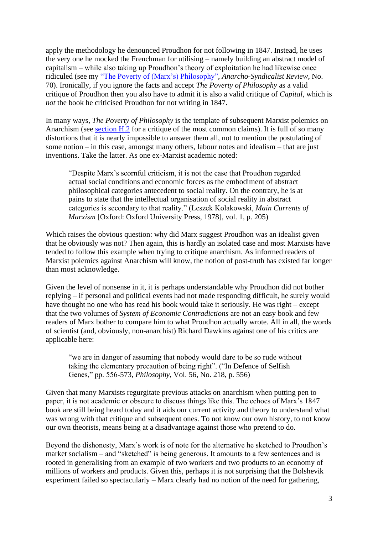apply the methodology he denounced Proudhon for not following in 1847. Instead, he uses the very one he mocked the Frenchman for utilising – namely building an abstract model of capitalism – while also taking up Proudhon's theory of exploitation he had likewise once ridiculed (see my ["The Poverty of \(Marx's\) Philosophy",](https://anarchism.pageabode.com/?p=998) *Anarcho-Syndicalist Review*, No. 70). Ironically, if you ignore the facts and accept *The Poverty of Philosophy* as a valid critique of Proudhon then you also have to admit it is also a valid critique of *Capital*, which is *not* the book he criticised Proudhon for not writing in 1847.

In many ways, *The Poverty of Philosophy* is the template of subsequent Marxist polemics on Anarchism (see [section H.2](../sectionH.html#sech2) for a critique of the most common claims). It is full of so many distortions that it is nearly impossible to answer them all, not to mention the postulating of some notion – in this case, amongst many others, labour notes and idealism – that are just inventions. Take the latter. As one ex-Marxist academic noted:

"Despite Marx's scornful criticism, it is not the case that Proudhon regarded actual social conditions and economic forces as the embodiment of abstract philosophical categories antecedent to social reality. On the contrary, he is at pains to state that the intellectual organisation of social reality in abstract categories is secondary to that reality." (Leszek Kolakowski, *Main Currents of Marxism* [Oxford: Oxford University Press, 1978], vol. 1, p. 205)

Which raises the obvious question: why did Marx suggest Proudhon was an idealist given that he obviously was not? Then again, this is hardly an isolated case and most Marxists have tended to follow this example when trying to critique anarchism. As informed readers of Marxist polemics against Anarchism will know, the notion of post-truth has existed far longer than most acknowledge.

Given the level of nonsense in it, it is perhaps understandable why Proudhon did not bother replying – if personal and political events had not made responding difficult, he surely would have thought no one who has read his book would take it seriously. He was right – except that the two volumes of *System of Economic Contradictions* are not an easy book and few readers of Marx bother to compare him to what Proudhon actually wrote. All in all, the words of scientist (and, obviously, non-anarchist) Richard Dawkins against one of his critics are applicable here:

"we are in danger of assuming that nobody would dare to be so rude without taking the elementary precaution of being right". ("In Defence of Selfish Genes," pp. 556-573, *Philosophy*, Vol. 56, No. 218, p. 556)

Given that many Marxists regurgitate previous attacks on anarchism when putting pen to paper, it is not academic or obscure to discuss things like this. The echoes of Marx's 1847 book are still being heard today and it aids our current activity and theory to understand what was wrong with that critique and subsequent ones. To not know our own history, to not know our own theorists, means being at a disadvantage against those who pretend to do.

Beyond the dishonesty, Marx's work is of note for the alternative he sketched to Proudhon's market socialism – and "sketched" is being generous. It amounts to a few sentences and is rooted in generalising from an example of two workers and two products to an economy of millions of workers and products. Given this, perhaps it is not surprising that the Bolshevik experiment failed so spectacularly – Marx clearly had no notion of the need for gathering,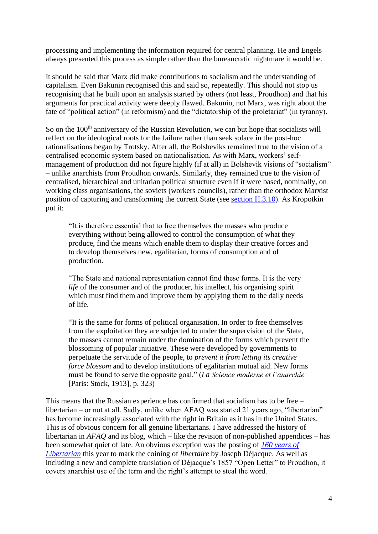processing and implementing the information required for central planning. He and Engels always presented this process as simple rather than the bureaucratic nightmare it would be.

It should be said that Marx did make contributions to socialism and the understanding of capitalism. Even Bakunin recognised this and said so, repeatedly. This should not stop us recognising that he built upon an analysis started by others (not least, Proudhon) and that his arguments for practical activity were deeply flawed. Bakunin, not Marx, was right about the fate of "political action" (in reformism) and the "dictatorship of the proletariat" (in tyranny).

So on the 100<sup>th</sup> anniversary of the Russian Revolution, we can but hope that socialists will reflect on the ideological roots for the failure rather than seek solace in the post-hoc rationalisations began by Trotsky. After all, the Bolsheviks remained true to the vision of a centralised economic system based on nationalisation. As with Marx, workers' selfmanagement of production did not figure highly (if at all) in Bolshevik visions of "socialism" – unlike anarchists from Proudhon onwards. Similarly, they remained true to the vision of centralised, hierarchical and unitarian political structure even if it were based, nominally, on working class organisations, the soviets (workers councils), rather than the orthodox Marxist position of capturing and transforming the current State (see [section H.3.10\)](../sectionH.html#sech310). As Kropotkin put it:

"It is therefore essential that to free themselves the masses who produce everything without being allowed to control the consumption of what they produce, find the means which enable them to display their creative forces and to develop themselves new, egalitarian, forms of consumption and of production.

"The State and national representation cannot find these forms. It is the very *life* of the consumer and of the producer, his intellect, his organising spirit which must find them and improve them by applying them to the daily needs of life.

"It is the same for forms of political organisation. In order to free themselves from the exploitation they are subjected to under the supervision of the State, the masses cannot remain under the domination of the forms which prevent the blossoming of popular initiative. These were developed by governments to perpetuate the servitude of the people, to *prevent it from letting its creative force blossom* and to develop institutions of egalitarian mutual aid. New forms must be found to serve the opposite goal." (*La Science moderne et l'anarchie* [Paris: Stock, 1913], p. 323)

This means that the Russian experience has confirmed that socialism has to be free – libertarian – or not at all. Sadly, unlike when AFAQ was started 21 years ago, "libertarian" has become increasingly associated with the right in Britain as it has in the United States. This is of obvious concern for all genuine libertarians. I have addressed the history of libertarian in *AFAQ* and its blog, which – like the revision of non-published appendices – has been somewhat quiet of late. An obvious exception was the posting of *[160 years of](160-years-libertarian.html)  [Libertarian](160-years-libertarian.html)* this year to mark the coining of *libertaire* by Joseph Déjacque. As well as including a new and complete translation of Déjacque's 1857 "Open Letter" to Proudhon, it covers anarchist use of the term and the right's attempt to steal the word.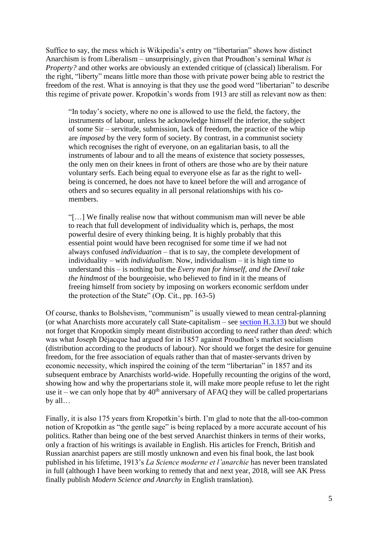Suffice to say, the mess which is Wikipedia's entry on "libertarian" shows how distinct Anarchism is from Liberalism – unsurprisingly, given that Proudhon's seminal *What is Property?* and other works are obviously an extended critique of (classical) liberalism. For the right, "liberty" means little more than those with private power being able to restrict the freedom of the rest. What is annoying is that they use the good word "libertarian" to describe this regime of private power. Kropotkin's words from 1913 are still as relevant now as then:

"In today's society, where no one is allowed to use the field, the factory, the instruments of labour, unless he acknowledge himself the inferior, the subject of some Sir – servitude, submission, lack of freedom, the practice of the whip are *imposed* by the very form of society. By contrast, in a communist society which recognises the right of everyone, on an egalitarian basis, to all the instruments of labour and to all the means of existence that society possesses, the only men on their knees in front of others are those who are by their nature voluntary serfs. Each being equal to everyone else as far as the right to wellbeing is concerned, he does not have to kneel before the will and arrogance of others and so secures equality in all personal relationships with his comembers.

"[…] We finally realise now that without communism man will never be able to reach that full development of individuality which is, perhaps, the most powerful desire of every thinking being. It is highly probably that this essential point would have been recognised for some time if we had not always confused *individuation* – that is to say, the complete development of individuality – with *individualism*. Now, individualism – it is high time to understand this – is nothing but the *Every man for himself, and the Devil take the hindmost* of the bourgeoisie, who believed to find in it the means of freeing himself from society by imposing on workers economic serfdom under the protection of the State" (Op. Cit., pp. 163-5)

Of course, thanks to Bolshevism, "communism" is usually viewed to mean central-planning (or what Anarchists more accurately call State-capitalism – see [section H.3.13\)](../sectionH.html#sech313) but we should not forget that Kropotkin simply meant distribution according to *need* rather than *deed*: which was what Joseph Déjacque had argued for in 1857 against Proudhon's market socialism (distribution according to the products of labour). Nor should we forget the desire for genuine freedom, for the free association of equals rather than that of master-servants driven by economic necessity, which inspired the coining of the term "libertarian" in 1857 and its subsequent embrace by Anarchists world-wide. Hopefully recounting the origins of the word, showing how and why the propertarians stole it, will make more people refuse to let the right use it – we can only hope that by  $40<sup>th</sup>$  anniversary of AFAQ they will be called propertarians by all…

Finally, it is also 175 years from Kropotkin's birth. I'm glad to note that the all-too-common notion of Kropotkin as "the gentle sage" is being replaced by a more accurate account of his politics. Rather than being one of the best served Anarchist thinkers in terms of their works, only a fraction of his writings is available in English. His articles for French, British and Russian anarchist papers are still mostly unknown and even his final book, the last book published in his lifetime, 1913's *La Science moderne et l'anarchie* has never been translated in full (although I have been working to remedy that and next year, 2018, will see AK Press finally publish *Modern Science and Anarchy* in English translation).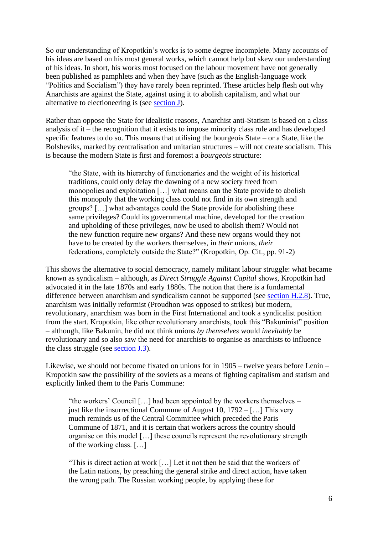So our understanding of Kropotkin's works is to some degree incomplete. Many accounts of his ideas are based on his most general works, which cannot help but skew our understanding of his ideas. In short, his works most focused on the labour movement have not generally been published as pamphlets and when they have (such as the English-language work "Politics and Socialism") they have rarely been reprinted. These articles help flesh out why Anarchists are against the State, against using it to abolish capitalism, and what our alternative to electioneering is (see [section J\)](../sectionJ.html).

Rather than oppose the State for idealistic reasons, Anarchist anti-Statism is based on a class analysis of it – the recognition that it exists to impose minority class rule and has developed specific features to do so. This means that utilising the bourgeois State – or a State, like the Bolsheviks, marked by centralisation and unitarian structures – will not create socialism. This is because the modern State is first and foremost a *bourgeois* structure:

"the State, with its hierarchy of functionaries and the weight of its historical traditions, could only delay the dawning of a new society freed from monopolies and exploitation […] what means can the State provide to abolish this monopoly that the working class could not find in its own strength and groups? […] what advantages could the State provide for abolishing these same privileges? Could its governmental machine, developed for the creation and upholding of these privileges, now be used to abolish them? Would not the new function require new organs? And these new organs would they not have to be created by the workers themselves, in *their* unions, *their* federations, completely outside the State?" (Kropotkin, Op. Cit., pp. 91-2)

This shows the alternative to social democracy, namely militant labour struggle: what became known as syndicalism – although, as *Direct Struggle Against Capital* shows, Kropotkin had advocated it in the late 1870s and early 1880s. The notion that there is a fundamental difference between anarchism and syndicalism cannot be supported (see [section H.2.8\)](../sectionH.html#sech28). True, anarchism was initially reformist (Proudhon was opposed to strikes) but modern, revolutionary, anarchism was born in the First International and took a syndicalist position from the start. Kropotkin, like other revolutionary anarchists, took this "Bakuninist" position – although, like Bakunin, he did not think unions *by themselves* would *inevitably* be revolutionary and so also saw the need for anarchists to organise as anarchists to influence the class struggle (see [section J.3\)](../sectionJ.html#secj3).

Likewise, we should not become fixated on unions for in 1905 – twelve years before Lenin – Kropotkin saw the possibility of the soviets as a means of fighting capitalism and statism and explicitly linked them to the Paris Commune:

"the workers' Council […] had been appointed by the workers themselves – just like the insurrectional Commune of August 10,  $1792 -$ [...] This very much reminds us of the Central Committee which preceded the Paris Commune of 1871, and it is certain that workers across the country should organise on this model […] these councils represent the revolutionary strength of the working class. […]

"This is direct action at work […] Let it not then be said that the workers of the Latin nations, by preaching the general strike and direct action, have taken the wrong path. The Russian working people, by applying these for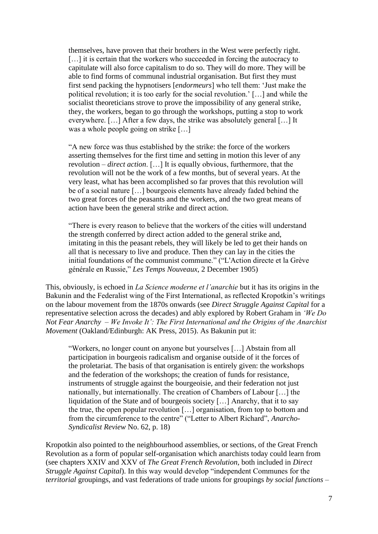themselves, have proven that their brothers in the West were perfectly right. [...] it is certain that the workers who succeeded in forcing the autocracy to capitulate will also force capitalism to do so. They will do more. They will be able to find forms of communal industrial organisation. But first they must first send packing the hypnotisers [*endormeurs*] who tell them: 'Just make the political revolution; it is too early for the social revolution.' […] and while the socialist theoreticians strove to prove the impossibility of any general strike, they, the workers, began to go through the workshops, putting a stop to work everywhere. […] After a few days, the strike was absolutely general […] It was a whole people going on strike […]

"A new force was thus established by the strike: the force of the workers asserting themselves for the first time and setting in motion this lever of any revolution – *direct action*. […] It is equally obvious, furthermore, that the revolution will not be the work of a few months, but of several years. At the very least, what has been accomplished so far proves that this revolution will be of a social nature […] bourgeois elements have already faded behind the two great forces of the peasants and the workers, and the two great means of action have been the general strike and direct action.

"There is every reason to believe that the workers of the cities will understand the strength conferred by direct action added to the general strike and, imitating in this the peasant rebels, they will likely be led to get their hands on all that is necessary to live and produce. Then they can lay in the cities the initial foundations of the communist commune." ("L'Action directe et la Grève générale en Russie," *Les Temps Nouveaux*, 2 December 1905)

This, obviously, is echoed in *La Science moderne et l'anarchie* but it has its origins in the Bakunin and the Federalist wing of the First International, as reflected Kropotkin's writings on the labour movement from the 1870s onwards (see *Direct Struggle Against Capital* for a representative selection across the decades) and ably explored by Robert Graham in *'We Do Not Fear Anarchy – We Invoke It': The First International and the Origins of the Anarchist Movement* (Oakland/Edinburgh: AK Press, 2015). As Bakunin put it:

"Workers, no longer count on anyone but yourselves […] Abstain from all participation in bourgeois radicalism and organise outside of it the forces of the proletariat. The basis of that organisation is entirely given: the workshops and the federation of the workshops; the creation of funds for resistance, instruments of struggle against the bourgeoisie, and their federation not just nationally, but internationally. The creation of Chambers of Labour […] the liquidation of the State and of bourgeois society [...] Anarchy, that it to say the true, the open popular revolution […] organisation, from top to bottom and from the circumference to the centre" ("Letter to Albert Richard", *Anarcho-Syndicalist Review* No. 62, p. 18)

Kropotkin also pointed to the neighbourhood assemblies, or sections, of the Great French Revolution as a form of popular self-organisation which anarchists today could learn from (see chapters XXIV and XXV of *The Great French Revolution*, both included in *Direct Struggle Against Capital*). In this way would develop "independent Communes for the *territorial* groupings, and vast federations of trade unions for groupings *by social functions* –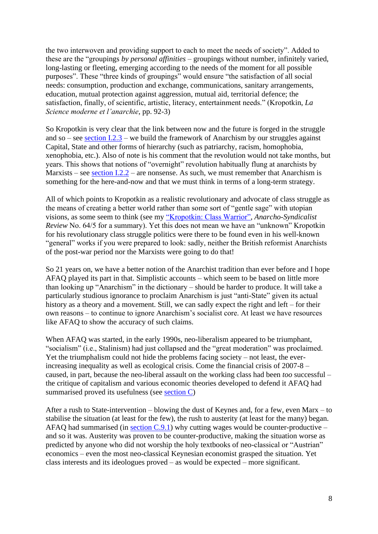the two interwoven and providing support to each to meet the needs of society". Added to these are the "groupings *by personal affinities* – groupings without number, infinitely varied, long-lasting or fleeting, emerging according to the needs of the moment for all possible purposes". These "three kinds of groupings" would ensure "the satisfaction of all social needs: consumption, production and exchange, communications, sanitary arrangements, education, mutual protection against aggression, mutual aid, territorial defence; the satisfaction, finally, of scientific, artistic, literacy, entertainment needs." (Kropotkin, *La Science moderne et l'anarchie*, pp. 92-3)

So Kropotkin is very clear that the link between now and the future is forged in the struggle and so – see section  $1.2.3$  – we build the framework of Anarchism by our struggles against Capital, State and other forms of hierarchy (such as patriarchy, racism, homophobia, xenophobia, etc.). Also of note is his comment that the revolution would not take months, but years. This shows that notions of "overnight" revolution habitually flung at anarchists by Marxists – see section  $1.2.2$  – are nonsense. As such, we must remember that Anarchism is something for the here-and-now and that we must think in terms of a long-term strategy.

All of which points to Kropotkin as a realistic revolutionary and advocate of class struggle as the means of creating a better world rather than some sort of "gentle sage" with utopian visions, as some seem to think (see my ["Kropotkin: Class Warrior",](https://anarchism.pageabode.com/?p=825) *Anarcho-Syndicalist Review* No. 64/5 for a summary). Yet this does not mean we have an "unknown" Kropotkin for his revolutionary class struggle politics were there to be found even in his well-known "general" works if you were prepared to look: sadly, neither the British reformist Anarchists of the post-war period nor the Marxists were going to do that!

So 21 years on, we have a better notion of the Anarchist tradition than ever before and I hope AFAQ played its part in that. Simplistic accounts – which seem to be based on little more than looking up "Anarchism" in the dictionary – should be harder to produce. It will take a particularly studious ignorance to proclaim Anarchism is just "anti-State" given its actual history as a theory and a movement. Still, we can sadly expect the right and left – for their own reasons – to continue to ignore Anarchism's socialist core. At least we have resources like AFAQ to show the accuracy of such claims.

When AFAQ was started, in the early 1990s, neo-liberalism appeared to be triumphant, "socialism" (i.e., Stalinism) had just collapsed and the "great moderation" was proclaimed. Yet the triumphalism could not hide the problems facing society – not least, the everincreasing inequality as well as ecological crisis. Come the financial crisis of 2007-8 – caused, in part, because the neo-liberal assault on the working class had been *too* successful – the critique of capitalism and various economic theories developed to defend it AFAQ had summarised proved its usefulness (see [section C\)](../sectionC.html)

After a rush to State-intervention – blowing the dust of Keynes and, for a few, even Marx – to stabilise the situation (at least for the few), the rush to austerity (at least for the many) began. AFAQ had summarised (in section  $C(9.1)$ ) why cutting wages would be counter-productive – and so it was. Austerity was proven to be counter-productive, making the situation worse as predicted by anyone who did not worship the holy textbooks of neo-classical or "Austrian" economics – even the most neo-classical Keynesian economist grasped the situation. Yet class interests and its ideologues proved – as would be expected – more significant.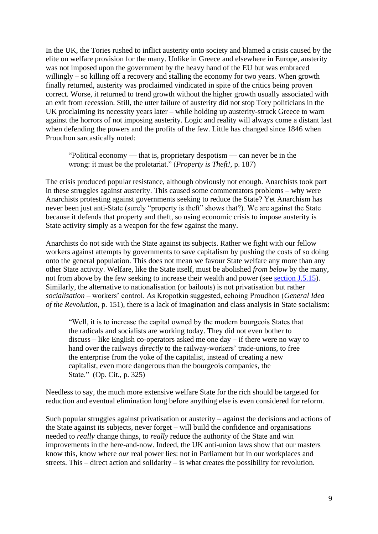In the UK, the Tories rushed to inflict austerity onto society and blamed a crisis caused by the elite on welfare provision for the many. Unlike in Greece and elsewhere in Europe, austerity was not imposed upon the government by the heavy hand of the EU but was embraced willingly – so killing off a recovery and stalling the economy for two years. When growth finally returned, austerity was proclaimed vindicated in spite of the critics being proven correct. Worse, it returned to trend growth without the higher growth usually associated with an exit from recession. Still, the utter failure of austerity did not stop Tory politicians in the UK proclaiming its necessity years later – while holding up austerity-struck Greece to warn against the horrors of not imposing austerity. Logic and reality will always come a distant last when defending the powers and the profits of the few. Little has changed since 1846 when Proudhon sarcastically noted:

"Political economy — that is, proprietary despotism — can never be in the wrong: it must be the proletariat." (*Property is Theft!*, p. 187)

The crisis produced popular resistance, although obviously not enough. Anarchists took part in these struggles against austerity. This caused some commentators problems – why were Anarchists protesting against governments seeking to reduce the State? Yet Anarchism has never been just anti-State (surely "property is theft" shows that?). We are against the State because it defends that property and theft, so using economic crisis to impose austerity is State activity simply as a weapon for the few against the many.

Anarchists do not side with the State against its subjects. Rather we fight with our fellow workers against attempts by governments to save capitalism by pushing the costs of so doing onto the general population. This does not mean we favour State welfare any more than any other State activity. Welfare, like the State itself, must be abolished *from below* by the many, not from above by the few seeking to increase their wealth and power (see [section J.5.15\)](../sectionJ.html#secj515). Similarly, the alternative to nationalisation (or bailouts) is not privatisation but rather *socialisation* – workers' control. As Kropotkin suggested, echoing Proudhon (*General Idea of the Revolution*, p. 151), there is a lack of imagination and class analysis in State socialism:

"Well, it is to increase the capital owned by the modern bourgeois States that the radicals and socialists are working today. They did not even bother to discuss – like English co-operators asked me one day – if there were no way to hand over the railways *directly* to the railway-workers' trade-unions, to free the enterprise from the yoke of the capitalist, instead of creating a new capitalist, even more dangerous than the bourgeois companies, the State." (Op. Cit., p. 325)

Needless to say, the much more extensive welfare State for the rich should be targeted for reduction and eventual elimination long before anything else is even considered for reform.

Such popular struggles against privatisation or austerity – against the decisions and actions of the State against its subjects, never forget – will build the confidence and organisations needed to *really* change things, to *really* reduce the authority of the State and win improvements in the here-and-now. Indeed, the UK anti-union laws show that our masters know this, know where *our* real power lies: not in Parliament but in our workplaces and streets. This – direct action and solidarity – is what creates the possibility for revolution.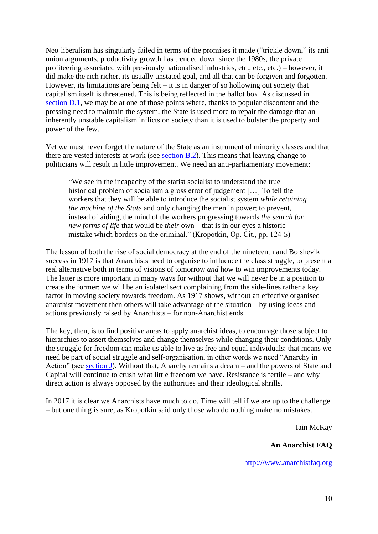Neo-liberalism has singularly failed in terms of the promises it made ("trickle down," its antiunion arguments, productivity growth has trended down since the 1980s, the private profiteering associated with previously nationalised industries, etc., etc., etc.) – however, it did make the rich richer, its usually unstated goal, and all that can be forgiven and forgotten. However, its limitations are being felt – it is in danger of so hollowing out society that capitalism itself is threatened. This is being reflected in the ballot box. As discussed in [section D.1,](../sectionD.html#secd1) we may be at one of those points where, thanks to popular discontent and the pressing need to maintain the system, the State is used more to repair the damage that an inherently unstable capitalism inflicts on society than it is used to bolster the property and power of the few.

Yet we must never forget the nature of the State as an instrument of minority classes and that there are vested interests at work (see [section B.2\)](../sectionB.html#secb2). This means that leaving change to politicians will result in little improvement. We need an anti-parliamentary movement:

"We see in the incapacity of the statist socialist to understand the true historical problem of socialism a gross error of judgement [...] To tell the workers that they will be able to introduce the socialist system *while retaining the machine of the State* and only changing the men in power; to prevent, instead of aiding, the mind of the workers progressing towards *the search for new forms of life* that would be *their* own – that is in our eyes a historic mistake which borders on the criminal." (Kropotkin, Op. Cit., pp. 124-5)

The lesson of both the rise of social democracy at the end of the nineteenth and Bolshevik success in 1917 is that Anarchists need to organise to influence the class struggle, to present a real alternative both in terms of visions of tomorrow *and* how to win improvements today. The latter is more important in many ways for without that we will never be in a position to create the former: we will be an isolated sect complaining from the side-lines rather a key factor in moving society towards freedom. As 1917 shows, without an effective organised anarchist movement then others will take advantage of the situation – by using ideas and actions previously raised by Anarchists – for non-Anarchist ends.

The key, then, is to find positive areas to apply anarchist ideas, to encourage those subject to hierarchies to assert themselves and change themselves while changing their conditions. Only the struggle for freedom can make us able to live as free and equal individuals: that means we need be part of social struggle and self-organisation, in other words we need "Anarchy in Action" (see [section J\)](../sectionJ.html). Without that, Anarchy remains a dream – and the powers of State and Capital will continue to crush what little freedom we have. Resistance is fertile – and why direct action is always opposed by the authorities and their ideological shrills.

In 2017 it is clear we Anarchists have much to do. Time will tell if we are up to the challenge – but one thing is sure, as Kropotkin said only those who do nothing make no mistakes.

Iain McKay

## **An Anarchist FAQ**

[http:///www.anarchistfaq.org](http://www.anarchistfaq.org/)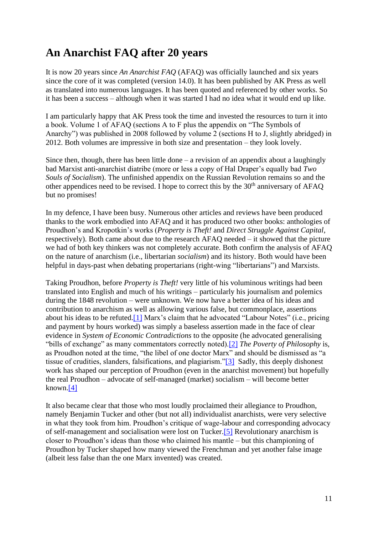## **An Anarchist FAQ after 20 years**

It is now 20 years since *An Anarchist FAQ* (AFAQ) was officially launched and six years since the core of it was completed (version 14.0). It has been published by AK Press as well as translated into numerous languages. It has been quoted and referenced by other works. So it has been a success – although when it was started I had no idea what it would end up like.

I am particularly happy that AK Press took the time and invested the resources to turn it into a book. Volume 1 of AFAQ (sections A to F plus the appendix on "The Symbols of Anarchy") was published in 2008 followed by volume 2 (sections H to J, slightly abridged) in 2012. Both volumes are impressive in both size and presentation – they look lovely.

Since then, though, there has been little done  $-$  a revision of an appendix about a laughingly bad Marxist anti-anarchist diatribe (more or less a copy of Hal Draper's equally bad *Two Souls of Socialism*). The unfinished appendix on the Russian Revolution remains so and the other appendices need to be revised. I hope to correct this by the 30<sup>th</sup> anniversary of AFAQ but no promises!

In my defence, I have been busy. Numerous other articles and reviews have been produced thanks to the work embodied into AFAQ and it has produced two other books: anthologies of Proudhon's and Kropotkin's works (*Property is Theft!* and *Direct Struggle Against Capital*, respectively). Both came about due to the research AFAQ needed – it showed that the picture we had of both key thinkers was not completely accurate. Both confirm the analysis of AFAQ on the nature of anarchism (i.e., libertarian *socialism*) and its history. Both would have been helpful in days-past when debating propertarians (right-wing "libertarians") and Marxists.

<span id="page-10-1"></span><span id="page-10-0"></span>Taking Proudhon, before *Property is Theft!* very little of his voluminous writings had been translated into English and much of his writings – particularly his journalism and polemics during the 1848 revolution – were unknown. We now have a better idea of his ideas and contribution to anarchism as well as allowing various false, but commonplace, assertions about his ideas to be refuted[.\[1\]](#page-18-0) Marx's claim that he advocated "Labour Notes" (i.e., pricing and payment by hours worked) was simply a baseless assertion made in the face of clear evidence in *System of Economic Contradictions* to the opposite (he advocated generalising "bills of exchange" as many commentators correctly noted)[.\[2\]](#page-18-1) *The Poverty of Philosophy* is, as Proudhon noted at the time, "the libel of one doctor Marx" and should be dismissed as "a tissue of crudities, slanders, falsifications, and plagiarism.["\[3\]](#page-18-2) Sadly, this deeply dishonest work has shaped our perception of Proudhon (even in the anarchist movement) but hopefully the real Proudhon – advocate of self-managed (market) socialism – will become better known[.\[4\]](#page-18-3)

<span id="page-10-4"></span><span id="page-10-3"></span><span id="page-10-2"></span>It also became clear that those who most loudly proclaimed their allegiance to Proudhon, namely Benjamin Tucker and other (but not all) individualist anarchists, were very selective in what they took from him. Proudhon's critique of wage-labour and corresponding advocacy of self-management and socialisation were lost on Tucker[.\[5\]](#page-19-0) Revolutionary anarchism is closer to Proudhon's ideas than those who claimed his mantle – but this championing of Proudhon by Tucker shaped how many viewed the Frenchman and yet another false image (albeit less false than the one Marx invented) was created.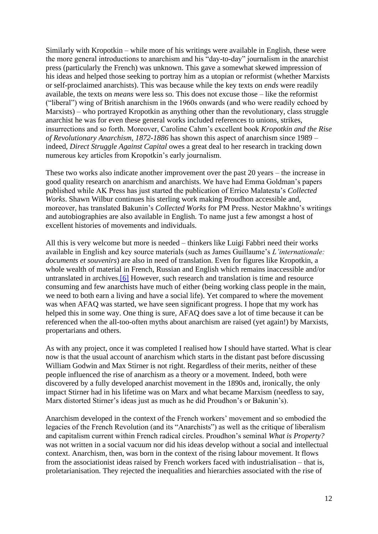Similarly with Kropotkin – while more of his writings were available in English, these were the more general introductions to anarchism and his "day-to-day" journalism in the anarchist press (particularly the French) was unknown. This gave a somewhat skewed impression of his ideas and helped those seeking to portray him as a utopian or reformist (whether Marxists or self-proclaimed anarchists). This was because while the key texts on *ends* were readily available, the texts on *means* were less so. This does not excuse those – like the reformist ("liberal") wing of British anarchism in the 1960s onwards (and who were readily echoed by Marxists) – who portrayed Kropotkin as anything other than the revolutionary, class struggle anarchist he was for even these general works included references to unions, strikes, insurrections and so forth. Moreover, Caroline Cahm's excellent book *Kropotkin and the Rise of Revolutionary Anarchism, 1872-1886* has shown this aspect of anarchism since 1989 – indeed, *Direct Struggle Against Capital* owes a great deal to her research in tracking down numerous key articles from Kropotkin's early journalism.

These two works also indicate another improvement over the past 20 years – the increase in good quality research on anarchism and anarchists. We have had Emma Goldman's papers published while AK Press has just started the publication of Errico Malatesta's *Collected Works*. Shawn Wilbur continues his sterling work making Proudhon accessible and, moreover, has translated Bakunin's *Collected Works* for PM Press. Nestor Makhno's writings and autobiographies are also available in English. To name just a few amongst a host of excellent histories of movements and individuals.

<span id="page-11-0"></span>All this is very welcome but more is needed – thinkers like Luigi Fabbri need their works available in English and key source materials (such as James Guillaume's *L'internationale: documents et souvenirs*) are also in need of translation. Even for figures like Kropotkin, a whole wealth of material in French, Russian and English which remains inaccessible and/or untranslated in archives.<sup>[6]</sup> However, such research and translation is time and resource consuming and few anarchists have much of either (being working class people in the main, we need to both earn a living and have a social life). Yet compared to where the movement was when AFAQ was started, we have seen significant progress. I hope that my work has helped this in some way. One thing is sure, AFAQ does save a lot of time because it can be referenced when the all-too-often myths about anarchism are raised (yet again!) by Marxists, propertarians and others.

As with any project, once it was completed I realised how I should have started. What is clear now is that the usual account of anarchism which starts in the distant past before discussing William Godwin and Max Stirner is not right. Regardless of their merits, neither of these people influenced the rise of anarchism as a theory or a movement. Indeed, both were discovered by a fully developed anarchist movement in the 1890s and, ironically, the only impact Stirner had in his lifetime was on Marx and what became Marxism (needless to say, Marx distorted Stirner's ideas just as much as he did Proudhon's or Bakunin's).

Anarchism developed in the context of the French workers' movement and so embodied the legacies of the French Revolution (and its "Anarchists") as well as the critique of liberalism and capitalism current within French radical circles. Proudhon's seminal *What is Property?* was not written in a social vacuum nor did his ideas develop without a social and intellectual context. Anarchism, then, was born in the context of the rising labour movement. It flows from the associationist ideas raised by French workers faced with industrialisation – that is, proletarianisation. They rejected the inequalities and hierarchies associated with the rise of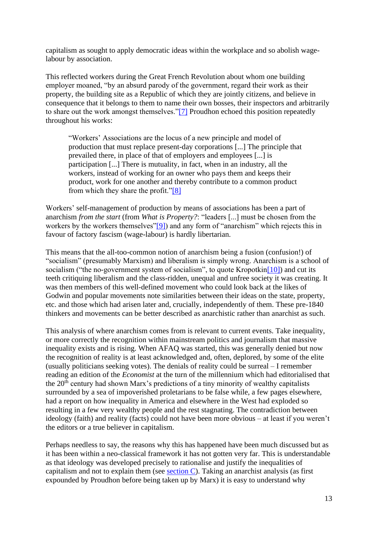capitalism as sought to apply democratic ideas within the workplace and so abolish wagelabour by association.

This reflected workers during the Great French Revolution about whom one building employer moaned, "by an absurd parody of the government, regard their work as their property, the building site as a Republic of which they are jointly citizens, and believe in consequence that it belongs to them to name their own bosses, their inspectors and arbitrarily to share out the work amongst themselves.["\[7\]](#page-19-2) Proudhon echoed this position repeatedly throughout his works:

<span id="page-12-1"></span><span id="page-12-0"></span>"Workers' Associations are the locus of a new principle and model of production that must replace present-day corporations [...] The principle that prevailed there, in place of that of employers and employees [...] is participation [...] There is mutuality, in fact, when in an industry, all the workers, instead of working for an owner who pays them and keeps their product, work for one another and thereby contribute to a common product from which they share the profit.["\[8\]](#page-19-3)

<span id="page-12-2"></span>Workers' self-management of production by means of associations has been a part of anarchism *from the start* (from *What is Property?*: "leaders [...] must be chosen from the workers by the workers themselves["\[9\]\)](#page-19-4) and any form of "anarchism" which rejects this in favour of factory fascism (wage-labour) is hardly libertarian.

<span id="page-12-3"></span>This means that the all-too-common notion of anarchism being a fusion (confusion!) of "socialism" (presumably Marxism) and liberalism is simply wrong. Anarchism is a school of socialism ("the no-government system of socialism", to quote Kropotkin<sup>[10]</sup>) and cut its teeth critiquing liberalism and the class-ridden, unequal and unfree society it was creating. It was then members of this well-defined movement who could look back at the likes of Godwin and popular movements note similarities between their ideas on the state, property, etc. and those which had arisen later and, crucially, independently of them. These pre-1840 thinkers and movements can be better described as anarchistic rather than anarchist as such.

This analysis of where anarchism comes from is relevant to current events. Take inequality, or more correctly the recognition within mainstream politics and journalism that massive inequality exists and is rising. When AFAQ was started, this was generally denied but now the recognition of reality is at least acknowledged and, often, deplored, by some of the elite (usually politicians seeking votes). The denials of reality could be surreal – I remember reading an edition of the *Economist* at the turn of the millennium which had editorialised that the  $20<sup>th</sup>$  century had shown Marx's predictions of a tiny minority of wealthy capitalists surrounded by a sea of impoverished proletarians to be false while, a few pages elsewhere, had a report on how inequality in America and elsewhere in the West had exploded so resulting in a few very wealthy people and the rest stagnating. The contradiction between ideology (faith) and reality (facts) could not have been more obvious – at least if you weren't the editors or a true believer in capitalism.

Perhaps needless to say, the reasons why this has happened have been much discussed but as it has been within a neo-classical framework it has not gotten very far. This is understandable as that ideology was developed precisely to rationalise and justify the inequalities of capitalism and not to explain them (see [section C\)](../sectionC.html). Taking an anarchist analysis (as first expounded by Proudhon before being taken up by Marx) it is easy to understand why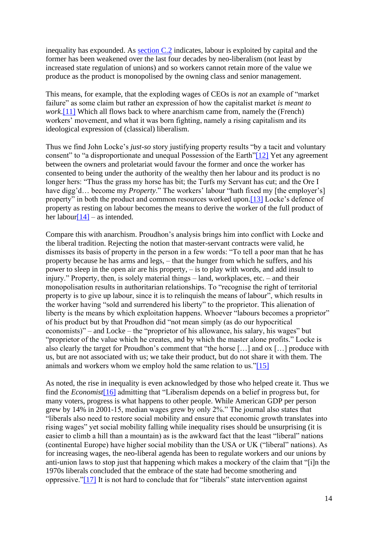inequality has expounded. As  $\frac{\text{section C.2}}{\text{of}}$  indicates, labour is exploited by capital and the former has been weakened over the last four decades by neo-liberalism (not least by increased state regulation of unions) and so workers cannot retain more of the value we produce as the product is monopolised by the owning class and senior management.

<span id="page-13-0"></span>This means, for example, that the exploding wages of CEOs is *not* an example of "market failure" as some claim but rather an expression of how the capitalist market *is meant to work*[.\[11\]](#page-19-6) Which all flows back to where anarchism came from, namely the (French) workers' movement, and what it was born fighting, namely a rising capitalism and its ideological expression of (classical) liberalism.

<span id="page-13-1"></span>Thus we find John Locke's *just-so* story justifying property results "by a tacit and voluntary consent" to "a disproportionate and unequal Possession of the Earth["\[12\]](#page-19-7) Yet any agreement between the owners and proletariat would favour the former and once the worker has consented to being under the authority of the wealthy then her labour and its product is no longer hers: "Thus the grass my horse has bit; the Turfs my Servant has cut; and the Ore I have digg'd… become my *Property*." The workers' labour "hath fixed my [the employer's] property" in both the product and common resources worked upon[.\[13\]](#page-19-8) Locke's defence of property as resting on labour becomes the means to derive the worker of the full product of her labou[r\[14\]](#page-19-9) – as intended.

<span id="page-13-3"></span><span id="page-13-2"></span>Compare this with anarchism. Proudhon's analysis brings him into conflict with Locke and the liberal tradition. Rejecting the notion that master-servant contracts were valid, he dismisses its basis of property in the person in a few words: "To tell a poor man that he has property because he has arms and legs, – that the hunger from which he suffers, and his power to sleep in the open air are his property, – is to play with words, and add insult to injury." Property, then, is solely material things – land, workplaces, etc. – and their monopolisation results in authoritarian relationships. To "recognise the right of territorial property is to give up labour, since it is to relinquish the means of labour", which results in the worker having "sold and surrendered his liberty" to the proprietor. This alienation of liberty is the means by which exploitation happens. Whoever "labours becomes a proprietor" of his product but by that Proudhon did "not mean simply (as do our hypocritical economists)" – and Locke – the "proprietor of his allowance, his salary, his wages" but "proprietor of the value which he creates, and by which the master alone profits." Locke is also clearly the target for Proudhon's comment that "the horse […] and ox […] produce with us, but are not associated with us; we take their product, but do not share it with them. The animals and workers whom we employ hold the same relation to us.["\[15\]](#page-19-10)

<span id="page-13-6"></span><span id="page-13-5"></span><span id="page-13-4"></span>As noted, the rise in inequality is even acknowledged by those who helped create it. Thus we find the *Economist*[\[16\]](#page-19-11) admitting that "Liberalism depends on a belief in progress but, for many voters, progress is what happens to other people. While American GDP per person grew by 14% in 2001-15, median wages grew by only 2%." The journal also states that "liberals also need to restore social mobility and ensure that economic growth translates into rising wages" yet social mobility falling while inequality rises should be unsurprising (it is easier to climb a hill than a mountain) as is the awkward fact that the least "liberal" nations (continental Europe) have higher social mobility than the USA or UK ("liberal" nations). As for increasing wages, the neo-liberal agenda has been to regulate workers and our unions by anti-union laws to stop just that happening which makes a mockery of the claim that "[i]n the 1970s liberals concluded that the embrace of the state had become smothering and oppressive.["\[17\]](#page-19-12) It is not hard to conclude that for "liberals" state intervention against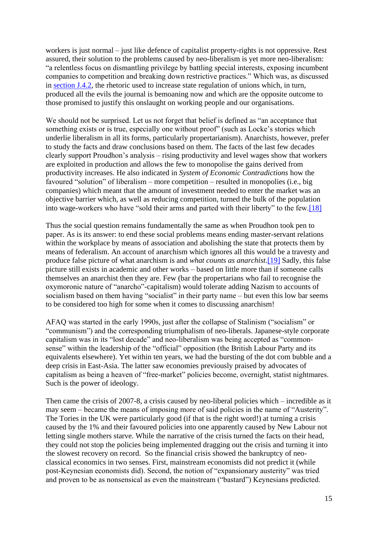workers is just normal – just like defence of capitalist property-rights is not oppressive. Rest assured, their solution to the problems caused by neo-liberalism is yet more neo-liberalism: "a relentless focus on dismantling privilege by battling special interests, exposing incumbent companies to competition and breaking down restrictive practices." Which was, as discussed in [section J.4.2,](../sectionJ.html#secj42) the rhetoric used to increase state regulation of unions which, in turn, produced all the evils the journal is bemoaning now and which are the opposite outcome to those promised to justify this onslaught on working people and our organisations.

We should not be surprised. Let us not forget that belief is defined as "an acceptance that something exists or is true, especially one without proof" (such as Locke's stories which underlie liberalism in all its forms, particularly propertarianism). Anarchists, however, prefer to study the facts and draw conclusions based on them. The facts of the last few decades clearly support Proudhon's analysis – rising productivity and level wages show that workers are exploited in production and allows the few to monopolise the gains derived from productivity increases. He also indicated in *System of Economic Contradictions* how the favoured "solution" of liberalism – more competition – resulted in monopolies (i.e., big companies) which meant that the amount of investment needed to enter the market was an objective barrier which, as well as reducing competition, turned the bulk of the population into wage-workers who have "sold their arms and parted with their liberty" to the few[.\[18\]](#page-19-13)

<span id="page-14-1"></span><span id="page-14-0"></span>Thus the social question remains fundamentally the same as when Proudhon took pen to paper. As is its answer: to end these social problems means ending master-servant relations within the workplace by means of association and abolishing the state that protects them by means of federalism. An account of anarchism which ignores all this would be a travesty and produce false picture of what anarchism is and *what counts as anarchist*[.\[19\]](#page-19-14) Sadly, this false picture still exists in academic and other works – based on little more than if someone calls themselves an anarchist then they are. Few (bar the propertarians who fail to recognise the oxymoronic nature of "anarcho"-capitalism) would tolerate adding Nazism to accounts of socialism based on them having "socialist" in their party name – but even this low bar seems to be considered too high for some when it comes to discussing anarchism!

AFAQ was started in the early 1990s, just after the collapse of Stalinism ("socialism" or "communism") and the corresponding triumphalism of neo-liberals. Japanese-style corporate capitalism was in its "lost decade" and neo-liberalism was being accepted as "commonsense" within the leadership of the "official" opposition (the British Labour Party and its equivalents elsewhere). Yet within ten years, we had the bursting of the dot com bubble and a deep crisis in East-Asia. The latter saw economies previously praised by advocates of capitalism as being a heaven of "free-market" policies become, overnight, statist nightmares. Such is the power of ideology.

Then came the crisis of 2007-8, a crisis caused by neo-liberal policies which – incredible as it may seem – became the means of imposing more of said policies in the name of "Austerity". The Tories in the UK were particularly good (if that is the right word!) at turning a crisis caused by the 1% and their favoured policies into one apparently caused by New Labour not letting single mothers starve. While the narrative of the crisis turned the facts on their head, they could not stop the policies being implemented dragging out the crisis and turning it into the slowest recovery on record. So the financial crisis showed the bankruptcy of neoclassical economics in two senses. First, mainstream economists did not predict it (while post-Keynesian economists did). Second, the notion of "expansionary austerity" was tried and proven to be as nonsensical as even the mainstream ("bastard") Keynesians predicted.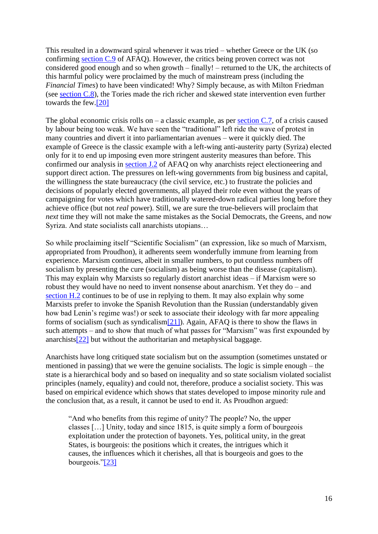This resulted in a downward spiral whenever it was tried – whether Greece or the UK (so confirming [section C.9](../sectionC.html#secc9) of AFAQ). However, the critics being proven correct was not considered good enough and so when growth – finally! – returned to the UK, the architects of this harmful policy were proclaimed by the much of mainstream press (including the *Financial Times*) to have been vindicated! Why? Simply because, as with Milton Friedman (see [section C.8\)](../sectionC.html#secc8), the Tories made the rich richer and skewed state intervention even further towards the few[.\[20\]](#page-19-15)

<span id="page-15-0"></span>The global economic crisis rolls on – a classic example, as per <u>section C.7</u>, of a crisis caused by labour being too weak. We have seen the "traditional" left ride the wave of protest in many countries and divert it into parliamentarian avenues – were it quickly died. The example of Greece is the classic example with a left-wing anti-austerity party (Syriza) elected only for it to end up imposing even more stringent austerity measures than before. This confirmed our analysis in [section J.2](../sectionJ.html#secj2) of AFAQ on why anarchists reject electioneering and support direct action. The pressures on left-wing governments from big business and capital, the willingness the state bureaucracy (the civil service, etc.) to frustrate the policies and decisions of popularly elected governments, all played their role even without the years of campaigning for votes which have traditionally watered-down radical parties long before they achieve office (but not *real* power). Still, we are sure the true-believers will proclaim that *next* time they will not make the same mistakes as the Social Democrats, the Greens, and now Syriza. And state socialists call anarchists utopians…

So while proclaiming itself "Scientific Socialism" (an expression, like so much of Marxism, appropriated from Proudhon), it adherents seem wonderfully immune from learning from experience. Marxism continues, albeit in smaller numbers, to put countless numbers off socialism by presenting the cure (socialism) as being worse than the disease (capitalism). This may explain why Marxists so regularly distort anarchist ideas – if Marxism were so robust they would have no need to invent nonsense about anarchism. Yet they do – and [section H.2](../sectionH.html#sech2) continues to be of use in replying to them. It may also explain why some Marxists prefer to invoke the Spanish Revolution than the Russian (understandably given how bad Lenin's regime was!) or seek to associate their ideology with far more appealing forms of socialism (such as syndicalism $[21]$ ). Again, AFAQ is there to show the flaws in such attempts – and to show that much of what passes for "Marxism" was first expounded by anarchist[s\[22\]](#page-19-17) but without the authoritarian and metaphysical baggage.

<span id="page-15-2"></span><span id="page-15-1"></span>Anarchists have long critiqued state socialism but on the assumption (sometimes unstated or mentioned in passing) that we were the genuine socialists. The logic is simple enough – the state is a hierarchical body and so based on inequality and so state socialism violated socialist principles (namely, equality) and could not, therefore, produce a socialist society. This was based on empirical evidence which shows that states developed to impose minority rule and the conclusion that, as a result, it cannot be used to end it. As Proudhon argued:

<span id="page-15-3"></span>"And who benefits from this regime of unity? The people? No, the upper classes […] Unity, today and since 1815, is quite simply a form of bourgeois exploitation under the protection of bayonets. Yes, political unity, in the great States, is bourgeois: the positions which it creates, the intrigues which it causes, the influences which it cherishes, all that is bourgeois and goes to the bourgeois.["\[23\]](#page-19-18)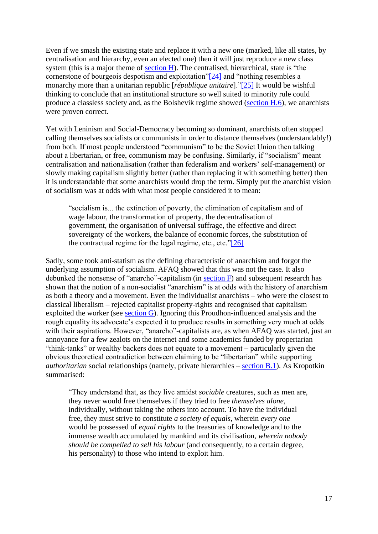<span id="page-16-1"></span><span id="page-16-0"></span>Even if we smash the existing state and replace it with a new one (marked, like all states, by centralisation and hierarchy, even an elected one) then it will just reproduce a new class system (this is a major theme of [section H\)](../sectionH.html). The centralised, hierarchical, state is "the cornerstone of bourgeois despotism and exploitation["\[24\]](#page-20-0) and "nothing resembles a monarchy more than a unitarian republic [*république unitaire*].["\[25\]](#page-20-1) It would be wishful thinking to conclude that an institutional structure so well suited to minority rule could produce a classless society and, as the Bolshevik regime showed [\(section H.6\)](../sectionH.html#sech6), we anarchists were proven correct.

Yet with Leninism and Social-Democracy becoming so dominant, anarchists often stopped calling themselves socialists or communists in order to distance themselves (understandably!) from both. If most people understood "communism" to be the Soviet Union then talking about a libertarian, or free, communism may be confusing. Similarly, if "socialism" meant centralisation and nationalisation (rather than federalism and workers' self-management) or slowly making capitalism slightly better (rather than replacing it with something better) then it is understandable that some anarchists would drop the term. Simply put the anarchist vision of socialism was at odds with what most people considered it to mean:

<span id="page-16-2"></span>"socialism is... the extinction of poverty, the elimination of capitalism and of wage labour, the transformation of property, the decentralisation of government, the organisation of universal suffrage, the effective and direct sovereignty of the workers, the balance of economic forces, the substitution of the contractual regime for the legal regime, etc., etc." $[26]$ 

Sadly, some took anti-statism as the defining characteristic of anarchism and forgot the underlying assumption of socialism. AFAQ showed that this was not the case. It also debunked the nonsense of "anarcho"-capitalism (in  $section F$ ) and subsequent research has shown that the notion of a non-socialist "anarchism" is at odds with the history of anarchism as both a theory and a movement. Even the individualist anarchists – who were the closest to classical liberalism – rejected capitalist property-rights and recognised that capitalism exploited the worker (see [section G\)](../sectionG.html). Ignoring this Proudhon-influenced analysis and the rough equality its advocate's expected it to produce results in something very much at odds with their aspirations. However, "anarcho"-capitalists are, as when AFAQ was started, just an annoyance for a few zealots on the internet and some academics funded by propertarian "think-tanks" or wealthy backers does not equate to a movement – particularly given the obvious theoretical contradiction between claiming to be "libertarian" while supporting *authoritarian* social relationships (namely, private hierarchies – [section B.1\)](../sectionB.html#secb1). As Kropotkin summarised:

"They understand that, as they live amidst *sociable* creatures, such as men are, they never would free themselves if they tried to free *themselves alone*, individually, without taking the others into account. To have the individual free, they must strive to constitute *a society of equals*, wherein *every one* would be possessed of *equal rights* to the treasuries of knowledge and to the immense wealth accumulated by mankind and its civilisation, *wherein nobody should be compelled to sell his labour* (and consequently, to a certain degree, his personality) to those who intend to exploit him.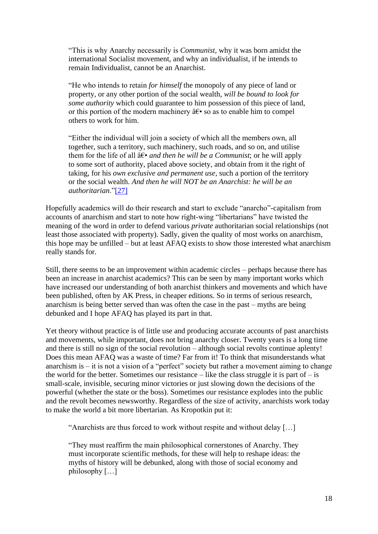"This is why Anarchy necessarily is *Communist*, why it was born amidst the international Socialist movement, and why an individualist, if he intends to remain Individualist, cannot be an Anarchist.

"He who intends to retain *for himself* the monopoly of any piece of land or property, or any other portion of the social wealth, *will be bound to look for some authority* which could guarantee to him possession of this piece of land, or this portion of the modern machinery  $\hat{a}\hat{\epsilon}$  so as to enable him to compel others to work for him.

<span id="page-17-0"></span>"Either the individual will join a society of which all the members own, all together, such a territory, such machinery, such roads, and so on, and utilise them for the life of all  $\hat{a} \in \hat{a}$  *and then he will be a Communist*; or he will apply to some sort of authority, placed above society, and obtain from it the right of taking, for his *own exclusive and permanent use*, such a portion of the territory or the social wealth. *And then he will NOT be an Anarchist: he will be an authoritarian*.["\[27\]](#page-20-3)

Hopefully academics will do their research and start to exclude "anarcho"-capitalism from accounts of anarchism and start to note how right-wing "libertarians" have twisted the meaning of the word in order to defend various *private* authoritarian social relationships (not least those associated with property). Sadly, given the quality of most works on anarchism, this hope may be unfilled – but at least AFAQ exists to show those interested what anarchism really stands for.

Still, there seems to be an improvement within academic circles – perhaps because there has been an increase in anarchist academics? This can be seen by many important works which have increased our understanding of both anarchist thinkers and movements and which have been published, often by AK Press, in cheaper editions. So in terms of serious research, anarchism is being better served than was often the case in the past – myths are being debunked and I hope AFAQ has played its part in that.

Yet theory without practice is of little use and producing accurate accounts of past anarchists and movements, while important, does not bring anarchy closer. Twenty years is a long time and there is still no sign of the social revolution – although social revolts continue aplenty! Does this mean AFAQ was a waste of time? Far from it! To think that misunderstands what anarchism is – it is not a vision of a "perfect" society but rather a movement aiming to change the world for the better. Sometimes our resistance – like the class struggle it is part of  $-$  is small-scale, invisible, securing minor victories or just slowing down the decisions of the powerful (whether the state or the boss). Sometimes our resistance explodes into the public and the revolt becomes newsworthy. Regardless of the size of activity, anarchists work today to make the world a bit more libertarian. As Kropotkin put it:

"Anarchists are thus forced to work without respite and without delay […]

"They must reaffirm the main philosophical cornerstones of Anarchy. They must incorporate scientific methods, for these will help to reshape ideas: the myths of history will be debunked, along with those of social economy and philosophy […]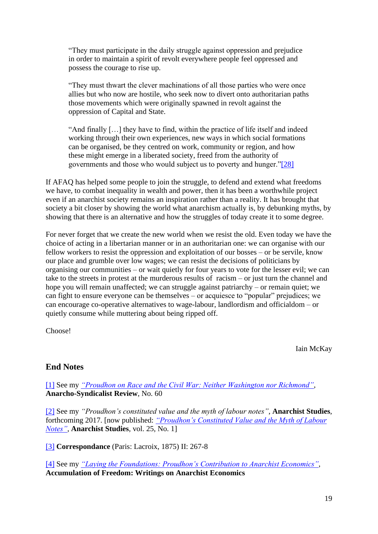"They must participate in the daily struggle against oppression and prejudice in order to maintain a spirit of revolt everywhere people feel oppressed and possess the courage to rise up.

"They must thwart the clever machinations of all those parties who were once allies but who now are hostile, who seek now to divert onto authoritarian paths those movements which were originally spawned in revolt against the oppression of Capital and State.

"And finally […] they have to find, within the practice of life itself and indeed working through their own experiences, new ways in which social formations can be organised, be they centred on work, community or region, and how these might emerge in a liberated society, freed from the authority of governments and those who would subject us to poverty and hunger.["\[28\]](#page-20-4)

If AFAQ has helped some people to join the struggle, to defend and extend what freedoms we have, to combat inequality in wealth and power, then it has been a worthwhile project even if an anarchist society remains an inspiration rather than a reality. It has brought that society a bit closer by showing the world what anarchism actually is, by debunking myths, by showing that there is an alternative and how the struggles of today create it to some degree.

For never forget that we create the new world when we resist the old. Even today we have the choice of acting in a libertarian manner or in an authoritarian one: we can organise with our fellow workers to resist the oppression and exploitation of our bosses – or be servile, know our place and grumble over low wages; we can resist the decisions of politicians by organising our communities – or wait quietly for four years to vote for the lesser evil; we can take to the streets in protest at the murderous results of racism – or just turn the channel and hope you will remain unaffected; we can struggle against patriarchy – or remain quiet; we can fight to ensure everyone can be themselves – or acquiesce to "popular" prejudices; we can encourage co-operative alternatives to wage-labour, landlordism and officialdom – or quietly consume while muttering about being ripped off.

Choose!

<span id="page-18-4"></span>Iain McKay

## **End Notes**

<span id="page-18-0"></span>[\[1\]](#page-10-0) See my *["Proudhon on Race and the Civil War: Neither Washington nor Richmond"](https://anarchism.pageabode.com/?p=766)*, **Anarcho-Syndicalist Review**, No. 60

<span id="page-18-1"></span>[\[2\]](#page-10-1) See my *"Proudhon's constituted value and the myth of labour notes"*, **Anarchist Studies**, forthcoming 2017. [now published: *["Proudhon's Constituted Value and the Myth of Labour](https://anarchism.pageabode.com/?p=1028)  [Notes"](https://anarchism.pageabode.com/?p=1028)*, **Anarchist Studies**, vol. 25, No. 1]

<span id="page-18-2"></span>[\[3\]](#page-10-2) **Correspondance** (Paris: Lacroix, 1875) II: 267-8

<span id="page-18-3"></span>[\[4\]](#page-10-3) See my *["Laying the Foundations: Proudhon's Contribution to Anarchist Economics"](https://anarchism.pageabode.com/?p=603)*, **Accumulation of Freedom: Writings on Anarchist Economics**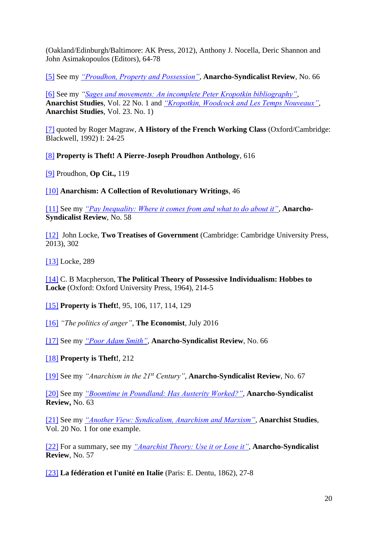(Oakland/Edinburgh/Baltimore: AK Press, 2012), Anthony J. Nocella, Deric Shannon and John Asimakopoulos (Editors), 64-78

<span id="page-19-0"></span>[\[5\]](#page-10-4) See my *["Proudhon, Property and Possession"](https://anarchism.pageabode.com/?p=802)*, **Anarcho-Syndicalist Review**, No. 66

<span id="page-19-1"></span>[\[6\]](#page-11-0) See my *["Sages and movements: An incomplete Peter Kropotkin bibliography"](https://anarchism.pageabode.com/?p=795)*, **Anarchist Studies**, Vol. 22 No. 1 and *["Kropotkin, Woodcock and Les Temps Nouveaux"](https://anarchism.pageabode.com/?p=862)*, **Anarchist Studies**, Vol. 23. No. 1)

<span id="page-19-2"></span>[\[7\]](#page-12-0) quoted by Roger Magraw, **A History of the French Working Class** (Oxford/Cambridge: Blackwell, 1992) I: 24-25

<span id="page-19-3"></span>[\[8\]](#page-12-1) **Property is Theft! A Pierre-Joseph Proudhon Anthology**, 616

<span id="page-19-4"></span>[\[9\]](#page-12-2) Proudhon, **Op Cit.,** 119

<span id="page-19-5"></span>[\[10\]](#page-12-3) **Anarchism: A Collection of Revolutionary Writings**, 46

<span id="page-19-6"></span>[\[11\]](#page-13-0) See my *["Pay Inequality: Where it comes from and what to do about it"](https://anarchism.pageabode.com/?p=586)*, **Anarcho-Syndicalist Review**, No. 58

<span id="page-19-7"></span>[\[12\]](#page-13-1) John Locke, **Two Treatises of Government** (Cambridge: Cambridge University Press, 2013), 302

<span id="page-19-8"></span>[\[13\]](#page-13-2) Locke, 289

<span id="page-19-9"></span>[\[14\]](#page-13-3) C. B Macpherson, **The Political Theory of Possessive Individualism: Hobbes to Locke** (Oxford: Oxford University Press, 1964), 214-5

<span id="page-19-10"></span>[\[15\]](#page-13-4) **Property is Theft!***,* 95, 106, 117, 114, 129

<span id="page-19-11"></span>[\[16\]](#page-13-5) *"The politics of anger"*, **The Economist**, July 2016

<span id="page-19-12"></span>[\[17\]](#page-13-6) See my *["Poor Adam Smith"](https://anarchism.pageabode.com/?p=917)*, **Anarcho-Syndicalist Review**, No. 66

<span id="page-19-13"></span>[\[18\]](#page-14-0) **Property is Theft!**, 212

<span id="page-19-14"></span>[\[19\]](#page-14-1) See my *"Anarchism in the 21st Century"*, **Anarcho-Syndicalist Review**, No. 67

<span id="page-19-15"></span>[\[20\]](#page-15-0) See my *["Boomtime in Poundland: Has Austerity Worked?"](https://anarchism.pageabode.com/?p=822)*, **Anarcho-Syndicalist Review,** No. 63

<span id="page-19-16"></span>[\[21\]](#page-15-1) See my *["Another View: Syndicalism, Anarchism and Marxism"](https://anarchism.pageabode.com/?p=650)*, **Anarchist Studies**, Vol. 20 No. 1 for one example.

<span id="page-19-17"></span>[\[22\]](#page-15-2) For a summary, see my *["Anarchist Theory: Use it or Lose it"](https://anarchism.pageabode.com/?p=587)*, **Anarcho-Syndicalist Review**, No. 57

<span id="page-19-18"></span>[\[23\]](#page-15-3) **La fédération et l'unité en Italie** (Paris: E. Dentu, 1862), 27-8